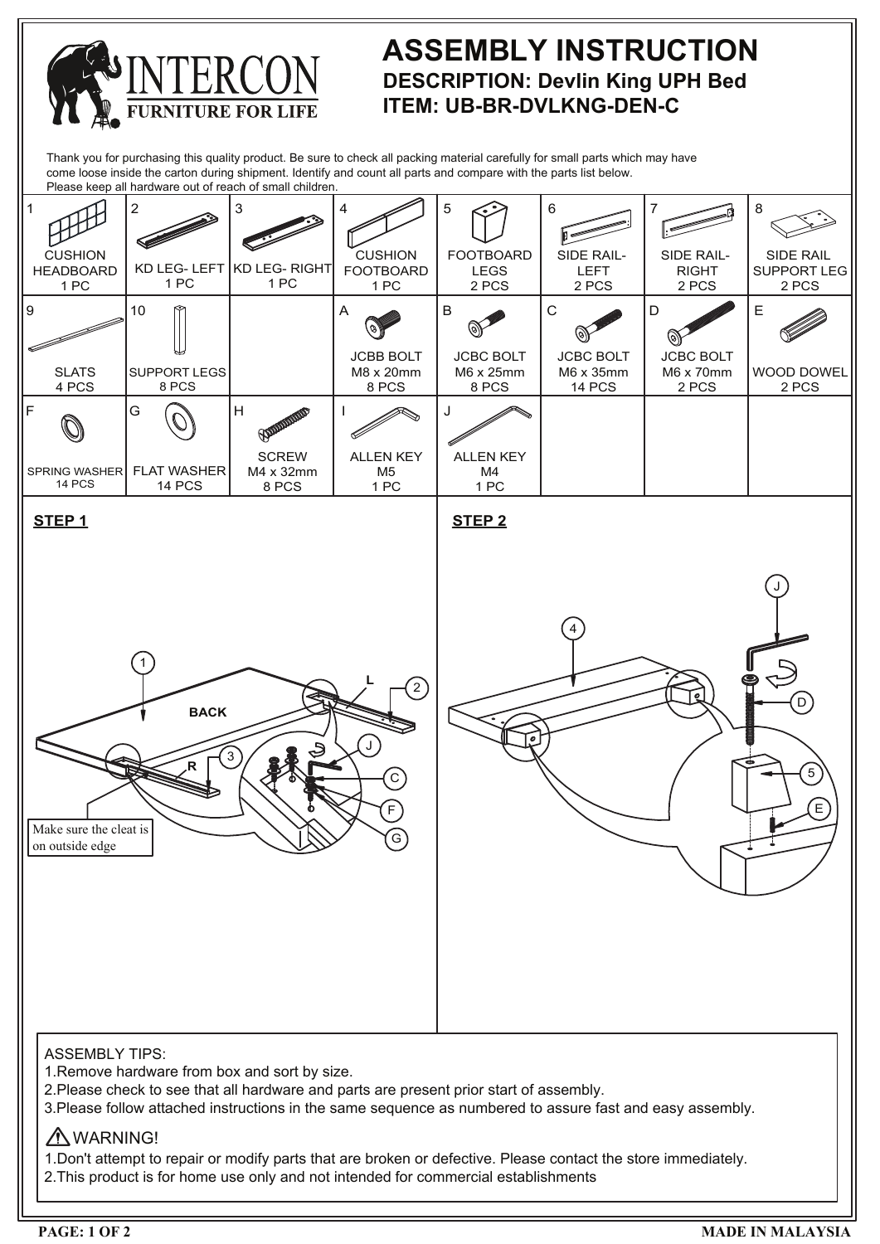